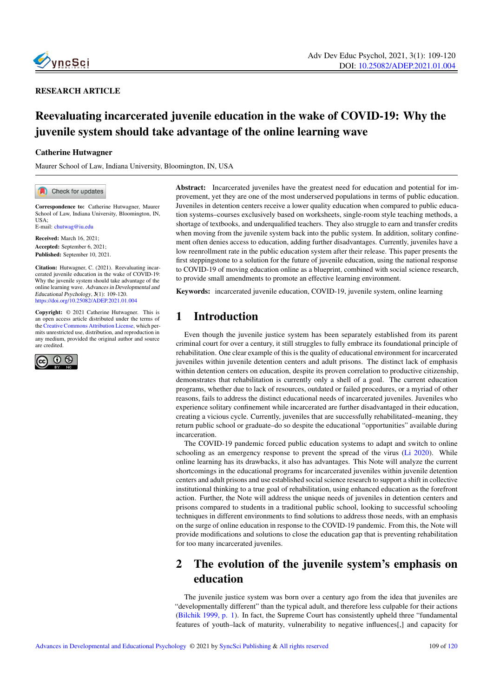

### RESEARCH ARTICLE

# Reevaluating incarcerated juvenile education in the wake of COVID-19: Why the juvenile system should take advantage of the online learning wave

#### Catherine Hutwagner

Maurer School of Law, Indiana University, Bloomington, IN, USA

Check for updates

Correspondence to: Catherine Hutwagner, Maurer School of Law, Indiana University, Bloomington, IN, IIS  $\Delta$ . E-mail: <chutwag@iu.edu>

Received: March 16, 2021; Accepted: September 6, 2021; Published: September 10, 2021.

Citation: Hutwagner, C. (2021). Reevaluating incarcerated juvenile education in the wake of COVID-19: Why the juvenile system should take advantage of the online learning wave. Advances in Developmental and Educational Psychology, 3(1): 109-120. <https://doi.org/10.25082/ADEP.2021.01.004>

Copyright: © 2021 Catherine Hutwagner. This is an open access article distributed under the terms of the [Creative Commons Attribution License,](https://creativecommons.org/licenses/by/4.0/) which permits unrestricted use, distribution, and reproduction in any medium, provided the original author and source are credited.



Abstract: Incarcerated juveniles have the greatest need for education and potential for improvement, yet they are one of the most underserved populations in terms of public education. Juveniles in detention centers receive a lower quality education when compared to public education systems–courses exclusively based on worksheets, single-room style teaching methods, a shortage of textbooks, and underqualified teachers. They also struggle to earn and transfer credits when moving from the juvenile system back into the public system. In addition, solitary confinement often denies access to education, adding further disadvantages. Currently, juveniles have a low reenrollment rate in the public education system after their release. This paper presents the first steppingstone to a solution for the future of juvenile education, using the national response to COVID-19 of moving education online as a blueprint, combined with social science research, to provide small amendments to promote an effective learning environment.

Keywords: incarcerated juvenile education, COVID-19, juvenile system, online learning

## 1 Introduction

Even though the juvenile justice system has been separately established from its parent criminal court for over a century, it still struggles to fully embrace its foundational principle of rehabilitation. One clear example of this is the quality of educational environment for incarcerated juveniles within juvenile detention centers and adult prisons. The distinct lack of emphasis within detention centers on education, despite its proven correlation to productive citizenship, demonstrates that rehabilitation is currently only a shell of a goal. The current education programs, whether due to lack of resources, outdated or failed procedures, or a myriad of other reasons, fails to address the distinct educational needs of incarcerated juveniles. Juveniles who experience solitary confinement while incarcerated are further disadvantaged in their education, creating a vicious cycle. Currently, juveniles that are successfully rehabilitated–meaning, they return public school or graduate–do so despite the educational "opportunities" available during incarceration.

The COVID-19 pandemic forced public education systems to adapt and switch to online schooling as an emergency response to prevent the spread of the virus (Li 2020). While online learning has its drawbacks, it also has advantages. This Note will analyze the current shortcomings in the educational programs for incarcerated juveniles within juvenile detention centers and adult prisons and use established social science research to support a shift in collective institutional thinking to a true goal of rehabilitation, using enhanced education as the forefront action. Further, the Note will address the unique needs of juveniles in detention centers and prisons compared to students in a traditional public school, looking to successful schooling techniques in different environments to find solutions to address those needs, with an emphasis on the surge of online education in response to the COVID-19 pandemic. From this, the Note will provide modifications and solutions to close the education gap that is preventing rehabilitation for too many incarcerated juveniles.

# 2 The evolution of the juvenile system's emphasis on education

The juvenile justice system was born over a century ago from the idea that juveniles are "developmentally different" than the typical adult, and therefore less culpable for their actions (Bilchik 1999, p. 1). In fact, the Supreme Court has consistently upheld three "fundamental features of youth–lack of maturity, vulnerability to negative influences[,] and capacity for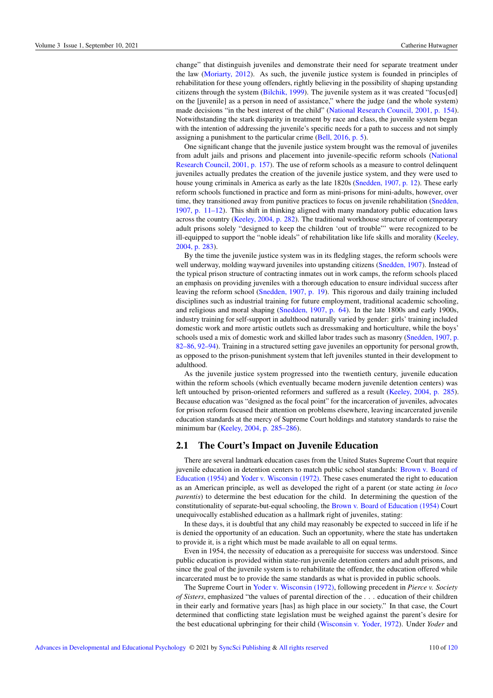change" that distinguish juveniles and demonstrate their need for separate treatment under the law (Moriarty, 2012). As such, the juvenile justice system is founded in principles of rehabilitation for these young offenders, rightly believing in the possibility of shaping upstanding citizens through the system (Bilchik, 1999). The juvenile system as it was created "focus[ed] on the [juvenile] as a person in need of assistance," where the judge (and the whole system) made decisions "in the best interest of the child" (National Research Council, 2001, p. 154). Notwithstanding the stark disparity in treatment by race and class, the juvenile system began with the intention of addressing the juvenile's specific needs for a path to success and not simply assigning a punishment to the particular crime (Bell, 2016, p. 5).

One significant change that the juvenile justice system brought was the removal of juveniles from adult jails and prisons and placement into juvenile-specific reform schools (National Research Council, 2001, p. 157). The use of reform schools as a measure to control delinquent juveniles actually predates the creation of the juvenile justice system, and they were used to house young criminals in America as early as the late 1820s (Snedden, 1907, p. 12). These early reform schools functioned in practice and form as mini-prisons for mini-adults, however, over time, they transitioned away from punitive practices to focus on juvenile rehabilitation (Snedden, 1907, p. 11–12). This shift in thinking aligned with many mandatory public education laws across the country (Keeley, 2004, p. 282). The traditional workhouse structure of contemporary adult prisons solely "designed to keep the children 'out of trouble"' were recognized to be ill-equipped to support the "noble ideals" of rehabilitation like life skills and morality (Keeley, 2004, p. 283).

By the time the juvenile justice system was in its fledgling stages, the reform schools were well underway, molding wayward juveniles into upstanding citizens (Snedden, 1907). Instead of the typical prison structure of contracting inmates out in work camps, the reform schools placed an emphasis on providing juveniles with a thorough education to ensure individual success after leaving the reform school (Snedden, 1907, p. 19). This rigorous and daily training included disciplines such as industrial training for future employment, traditional academic schooling, and religious and moral shaping (Snedden, 1907, p. 64). In the late 1800s and early 1900s, industry training for self-support in adulthood naturally varied by gender: girls' training included domestic work and more artistic outlets such as dressmaking and horticulture, while the boys' schools used a mix of domestic work and skilled labor trades such as masonry (Snedden, 1907, p. 82–86, 92–94). Training in a structured setting gave juveniles an opportunity for personal growth, as opposed to the prison-punishment system that left juveniles stunted in their development to adulthood.

As the juvenile justice system progressed into the twentieth century, juvenile education within the reform schools (which eventually became modern juvenile detention centers) was left untouched by prison-oriented reformers and suffered as a result (Keeley, 2004, p. 285). Because education was "designed as the focal point" for the incarceration of juveniles, advocates for prison reform focused their attention on problems elsewhere, leaving incarcerated juvenile education standards at the mercy of Supreme Court holdings and statutory standards to raise the minimum bar (Keeley, 2004, p. 285–286).

### 2.1 The Court's Impact on Juvenile Education

There are several landmark education cases from the United States Supreme Court that require juvenile education in detention centers to match public school standards: Brown v. Board of Education (1954) and Yoder v. Wisconsin (1972). These cases enumerated the right to education as an American principle, as well as developed the right of a parent (or state acting *in loco parentis*) to determine the best education for the child. In determining the question of the constitutionality of separate-but-equal schooling, the Brown v. Board of Education (1954) Court unequivocally established education as a hallmark right of juveniles, stating:

In these days, it is doubtful that any child may reasonably be expected to succeed in life if he is denied the opportunity of an education. Such an opportunity, where the state has undertaken to provide it, is a right which must be made available to all on equal terms.

Even in 1954, the necessity of education as a prerequisite for success was understood. Since public education is provided within state-run juvenile detention centers and adult prisons, and since the goal of the juvenile system is to rehabilitate the offender, the education offered while incarcerated must be to provide the same standards as what is provided in public schools.

The Supreme Court in Yoder v. Wisconsin (1972), following precedent in *Pierce v. Society of Sisters*, emphasized "the values of parental direction of the . . . education of their children in their early and formative years [has] as high place in our society." In that case, the Court determined that conflicting state legislation must be weighed against the parent's desire for the best educational upbringing for their child (Wisconsin v. Yoder, 1972). Under *Yoder* and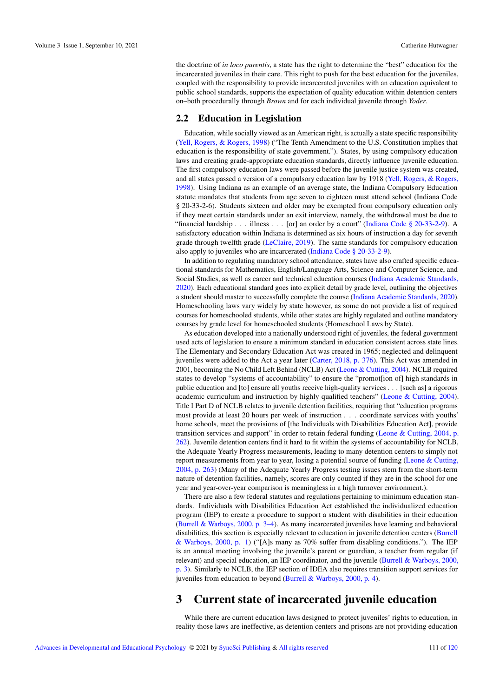the doctrine of *in loco parentis*, a state has the right to determine the "best" education for the incarcerated juveniles in their care. This right to push for the best education for the juveniles, coupled with the responsibility to provide incarcerated juveniles with an education equivalent to public school standards, supports the expectation of quality education within detention centers on–both procedurally through *Brown* and for each individual juvenile through *Yoder*.

### 2.2 Education in Legislation

Education, while socially viewed as an American right, is actually a state specific responsibility (Yell, Rogers, & Rogers, 1998) ("The Tenth Amendment to the U.S. Constitution implies that education is the responsibility of state government."). States, by using compulsory education laws and creating grade-appropriate education standards, directly influence juvenile education. The first compulsory education laws were passed before the juvenile justice system was created, and all states passed a version of a compulsory education law by 1918 (Yell, Rogers, & Rogers, 1998). Using Indiana as an example of an average state, the Indiana Compulsory Education statute mandates that students from age seven to eighteen must attend school (Indiana Code § 20-33-2-6). Students sixteen and older may be exempted from compulsory education only if they meet certain standards under an exit interview, namely, the withdrawal must be due to "financial hardship . . . illness . . . [or] an order by a court" (Indiana Code § 20-33-2-9). A satisfactory education within Indiana is determined as six hours of instruction a day for seventh grade through twelfth grade (LeClaire, 2019). The same standards for compulsory education also apply to juveniles who are incarcerated (Indiana Code § 20-33-2-9).

In addition to regulating mandatory school attendance, states have also crafted specific educational standards for Mathematics, English/Language Arts, Science and Computer Science, and Social Studies, as well as career and technical education courses (Indiana Academic Standards, 2020). Each educational standard goes into explicit detail by grade level, outlining the objectives a student should master to successfully complete the course (Indiana Academic Standards, 2020). Homeschooling laws vary widely by state however, as some do not provide a list of required courses for homeschooled students, while other states are highly regulated and outline mandatory courses by grade level for homeschooled students (Homeschool Laws by State).

As education developed into a nationally understood right of juveniles, the federal government used acts of legislation to ensure a minimum standard in education consistent across state lines. The Elementary and Secondary Education Act was created in 1965; neglected and delinquent juveniles were added to the Act a year later (Carter, 2018, p. 376). This Act was amended in 2001, becoming the No Child Left Behind (NCLB) Act (Leone & Cutting, 2004). NCLB required states to develop "systems of accountability" to ensure the "promot[ion of] high standards in public education and [to] ensure all youths receive high-quality services . . . [such as] a rigorous academic curriculum and instruction by highly qualified teachers" (Leone & Cutting, 2004). Title I Part D of NCLB relates to juvenile detention facilities, requiring that "education programs must provide at least 20 hours per week of instruction . . . coordinate services with youths' home schools, meet the provisions of [the Individuals with Disabilities Education Act], provide transition services and support" in order to retain federal funding (Leone & Cutting, 2004, p. 262). Juvenile detention centers find it hard to fit within the systems of accountability for NCLB, the Adequate Yearly Progress measurements, leading to many detention centers to simply not report measurements from year to year, losing a potential source of funding (Leone & Cutting, 2004, p. 263) (Many of the Adequate Yearly Progress testing issues stem from the short-term nature of detention facilities, namely, scores are only counted if they are in the school for one year and year-over-year comparison is meaningless in a high turnover environment.).

There are also a few federal statutes and regulations pertaining to minimum education standards. Individuals with Disabilities Education Act established the individualized education program (IEP) to create a procedure to support a student with disabilities in their education (Burrell & Warboys, 2000, p. 3–4). As many incarcerated juveniles have learning and behavioral disabilities, this section is especially relevant to education in juvenile detention centers (Burrell & Warboys, 2000, p. 1) ("[A]s many as 70% suffer from disabling conditions."). The IEP is an annual meeting involving the juvenile's parent or guardian, a teacher from regular (if relevant) and special education, an IEP coordinator, and the juvenile (Burrell & Warboys, 2000, p. 3). Similarly to NCLB, the IEP section of IDEA also requires transition support services for juveniles from education to beyond (Burrell & Warboys, 2000, p. 4).

## 3 Current state of incarcerated juvenile education

While there are current education laws designed to protect juveniles' rights to education, in reality those laws are ineffective, as detention centers and prisons are not providing education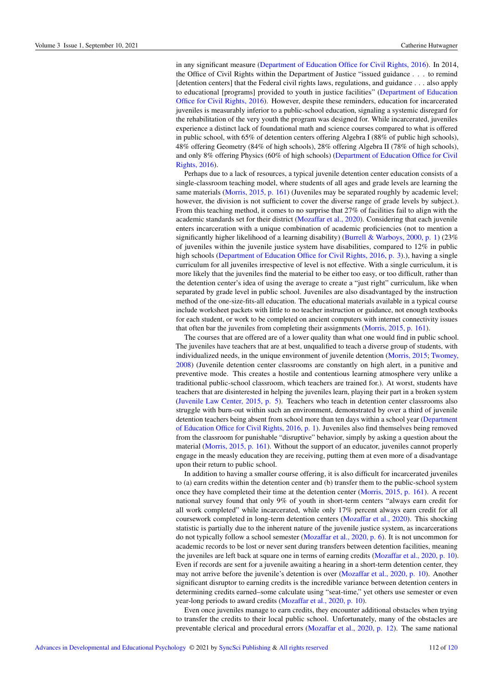in any significant measure (Department of Education Office for Civil Rights, 2016). In 2014, the Office of Civil Rights within the Department of Justice "issued guidance . . . to remind [detention centers] that the Federal civil rights laws, regulations, and guidance . . . also apply to educational [programs] provided to youth in justice facilities" (Department of Education Office for Civil Rights, 2016). However, despite these reminders, education for incarcerated juveniles is measurably inferior to a public-school education, signaling a systemic disregard for the rehabilitation of the very youth the program was designed for. While incarcerated, juveniles experience a distinct lack of foundational math and science courses compared to what is offered in public school, with 65% of detention centers offering Algebra I (88% of public high schools), 48% offering Geometry (84% of high schools), 28% offering Algebra II (78% of high schools), and only 8% offering Physics (60% of high schools) (Department of Education Office for Civil Rights, 2016).

Perhaps due to a lack of resources, a typical juvenile detention center education consists of a single-classroom teaching model, where students of all ages and grade levels are learning the same materials (Morris, 2015, p. 161) (Juveniles may be separated roughly by academic level; however, the division is not sufficient to cover the diverse range of grade levels by subject.). From this teaching method, it comes to no surprise that 27% of facilities fail to align with the academic standards set for their district (Mozaffar et al., 2020). Considering that each juvenile enters incarceration with a unique combination of academic proficiencies (not to mention a significantly higher likelihood of a learning disability) (Burrell & Warboys, 2000, p. 1) (23% of juveniles within the juvenile justice system have disabilities, compared to 12% in public high schools (Department of Education Office for Civil Rights, 2016, p. 3).), having a single curriculum for all juveniles irrespective of level is not effective. With a single curriculum, it is more likely that the juveniles find the material to be either too easy, or too difficult, rather than the detention center's idea of using the average to create a "just right" curriculum, like when separated by grade level in public school. Juveniles are also disadvantaged by the instruction method of the one-size-fits-all education. The educational materials available in a typical course include worksheet packets with little to no teacher instruction or guidance, not enough textbooks for each student, or work to be completed on ancient computers with internet connectivity issues that often bar the juveniles from completing their assignments (Morris, 2015, p. 161).

The courses that are offered are of a lower quality than what one would find in public school. The juveniles have teachers that are at best, unqualified to teach a diverse group of students, with individualized needs, in the unique environment of juvenile detention (Morris, 2015; Twomey, 2008) (Juvenile detention center classrooms are constantly on high alert, in a punitive and preventive mode. This creates a hostile and contentious learning atmosphere very unlike a traditional public-school classroom, which teachers are trained for.). At worst, students have teachers that are disinterested in helping the juveniles learn, playing their part in a broken system (Juvenile Law Center, 2015, p. 5). Teachers who teach in detention center classrooms also struggle with burn-out within such an environment, demonstrated by over a third of juvenile detention teachers being absent from school more than ten days within a school year (Department of Education Office for Civil Rights, 2016, p. 1). Juveniles also find themselves being removed from the classroom for punishable "disruptive" behavior, simply by asking a question about the material (Morris, 2015, p. 161). Without the support of an educator, juveniles cannot properly engage in the measly education they are receiving, putting them at even more of a disadvantage upon their return to public school.

In addition to having a smaller course offering, it is also difficult for incarcerated juveniles to (a) earn credits within the detention center and (b) transfer them to the public-school system once they have completed their time at the detention center (Morris, 2015, p. 161). A recent national survey found that only 9% of youth in short-term centers "always earn credit for all work completed" while incarcerated, while only 17% percent always earn credit for all coursework completed in long-term detention centers (Mozaffar et al., 2020). This shocking statistic is partially due to the inherent nature of the juvenile justice system, as incarcerations do not typically follow a school semester (Mozaffar et al., 2020, p. 6). It is not uncommon for academic records to be lost or never sent during transfers between detention facilities, meaning the juveniles are left back at square one in terms of earning credits (Mozaffar et al., 2020, p. 10). Even if records are sent for a juvenile awaiting a hearing in a short-term detention center, they may not arrive before the juvenile's detention is over (Mozaffar et al., 2020, p. 10). Another significant disruptor to earning credits is the incredible variance between detention centers in determining credits earned–some calculate using "seat-time," yet others use semester or even year-long periods to award credits (Mozaffar et al., 2020, p. 10).

Even once juveniles manage to earn credits, they encounter additional obstacles when trying to transfer the credits to their local public school. Unfortunately, many of the obstacles are preventable clerical and procedural errors (Mozaffar et al., 2020, p. 12). The same national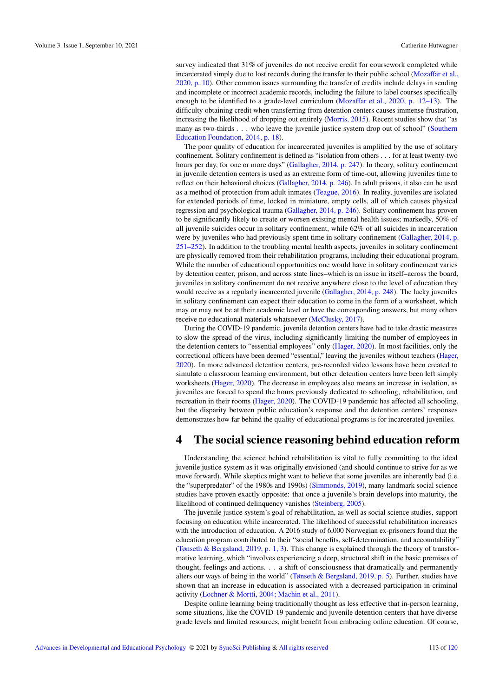survey indicated that 31% of juveniles do not receive credit for coursework completed while incarcerated simply due to lost records during the transfer to their public school (Mozaffar et al., 2020, p. 10). Other common issues surrounding the transfer of credits include delays in sending and incomplete or incorrect academic records, including the failure to label courses specifically enough to be identified to a grade-level curriculum (Mozaffar et al., 2020, p. 12–13). The difficulty obtaining credit when transferring from detention centers causes immense frustration, increasing the likelihood of dropping out entirely (Morris, 2015). Recent studies show that "as many as two-thirds . . . who leave the juvenile justice system drop out of school" (Southern Education Foundation, 2014, p. 18).

The poor quality of education for incarcerated juveniles is amplified by the use of solitary confinement. Solitary confinement is defined as "isolation from others . . . for at least twenty-two hours per day, for one or more days" (Gallagher, 2014, p. 247). In theory, solitary confinement in juvenile detention centers is used as an extreme form of time-out, allowing juveniles time to reflect on their behavioral choices (Gallagher, 2014, p. 246). In adult prisons, it also can be used as a method of protection from adult inmates (Teague, 2016). In reality, juveniles are isolated for extended periods of time, locked in miniature, empty cells, all of which causes physical regression and psychological trauma (Gallagher, 2014, p. 246). Solitary confinement has proven to be significantly likely to create or worsen existing mental health issues; markedly, 50% of all juvenile suicides occur in solitary confinement, while 62% of all suicides in incarceration were by juveniles who had previously spent time in solitary confinement (Gallagher, 2014, p. 251–252). In addition to the troubling mental health aspects, juveniles in solitary confinement are physically removed from their rehabilitation programs, including their educational program. While the number of educational opportunities one would have in solitary confinement varies by detention center, prison, and across state lines–which is an issue in itself–across the board, juveniles in solitary confinement do not receive anywhere close to the level of education they would receive as a regularly incarcerated juvenile (Gallagher, 2014, p. 248). The lucky juveniles in solitary confinement can expect their education to come in the form of a worksheet, which may or may not be at their academic level or have the corresponding answers, but many others receive no educational materials whatsoever (McClusky, 2017).

During the COVID-19 pandemic, juvenile detention centers have had to take drastic measures to slow the spread of the virus, including significantly limiting the number of employees in the detention centers to "essential employees" only (Hager, 2020). In most facilities, only the correctional officers have been deemed "essential," leaving the juveniles without teachers (Hager, 2020). In more advanced detention centers, pre-recorded video lessons have been created to simulate a classroom learning environment, but other detention centers have been left simply worksheets (Hager, 2020). The decrease in employees also means an increase in isolation, as juveniles are forced to spend the hours previously dedicated to schooling, rehabilitation, and recreation in their rooms (Hager, 2020). The COVID-19 pandemic has affected all schooling, but the disparity between public education's response and the detention centers' responses demonstrates how far behind the quality of educational programs is for incarcerated juveniles.

## 4 The social science reasoning behind education reform

Understanding the science behind rehabilitation is vital to fully committing to the ideal juvenile justice system as it was originally envisioned (and should continue to strive for as we move forward). While skeptics might want to believe that some juveniles are inherently bad (i.e. the "superpredator" of the 1980s and 1990s) (Simmonds, 2019), many landmark social science studies have proven exactly opposite: that once a juvenile's brain develops into maturity, the likelihood of continued delinquency vanishes (Steinberg, 2005).

The juvenile justice system's goal of rehabilitation, as well as social science studies, support focusing on education while incarcerated. The likelihood of successful rehabilitation increases with the introduction of education. A 2016 study of 6,000 Norwegian ex-prisoners found that the education program contributed to their "social benefits, self-determination, and accountability" (Tønseth & Bergsland, 2019, p. 1, 3). This change is explained through the theory of transformative learning, which "involves experiencing a deep, structural shift in the basic premises of thought, feelings and actions. . . a shift of consciousness that dramatically and permanently alters our ways of being in the world" (Tønseth & Bergsland, 2019, p. 5). Further, studies have shown that an increase in education is associated with a decreased participation in criminal activity (Lochner & Mortti, 2004; Machin et al., 2011).

Despite online learning being traditionally thought as less effective that in-person learning, some situations, like the COVID-19 pandemic and juvenile detention centers that have diverse grade levels and limited resources, might benefit from embracing online education. Of course,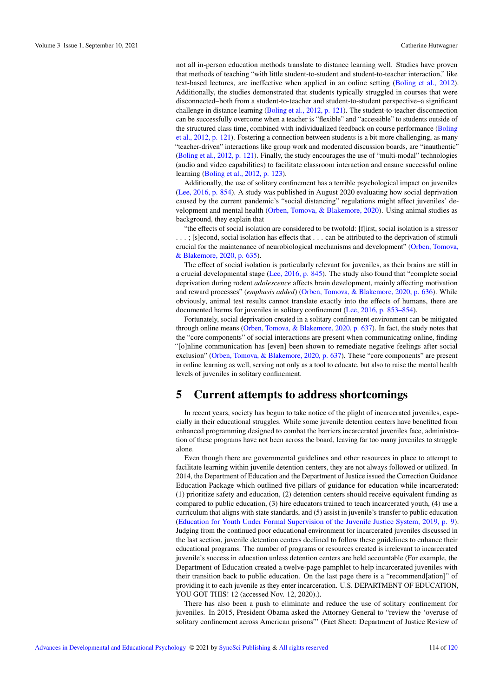not all in-person education methods translate to distance learning well. Studies have proven that methods of teaching "with little student-to-student and student-to-teacher interaction," like text-based lectures, are ineffective when applied in an online setting (Boling et al., 2012). Additionally, the studies demonstrated that students typically struggled in courses that were disconnected–both from a student-to-teacher and student-to-student perspective–a significant challenge in distance learning (Boling et al., 2012, p. 121). The student-to-teacher disconnection can be successfully overcome when a teacher is "flexible" and "accessible" to students outside of the structured class time, combined with individualized feedback on course performance (Boling et al., 2012, p. 121). Fostering a connection between students is a bit more challenging, as many "teacher-driven" interactions like group work and moderated discussion boards, are "inauthentic" (Boling et al., 2012, p. 121). Finally, the study encourages the use of "multi-modal" technologies (audio and video capabilities) to facilitate classroom interaction and ensure successful online learning (Boling et al., 2012, p. 123).

Additionally, the use of solitary confinement has a terrible psychological impact on juveniles (Lee, 2016, p. 854). A study was published in August 2020 evaluating how social deprivation caused by the current pandemic's "social distancing" regulations might affect juveniles' development and mental health (Orben, Tomova, & Blakemore, 2020). Using animal studies as background, they explain that

"the effects of social isolation are considered to be twofold: [f]irst, social isolation is a stressor . . . ; [s]econd, social isolation has effects that . . . can be attributed to the deprivation of stimuli crucial for the maintenance of neurobiological mechanisms and development" (Orben, Tomova, & Blakemore, 2020, p. 635).

The effect of social isolation is particularly relevant for juveniles, as their brains are still in a crucial developmental stage (Lee, 2016, p. 845). The study also found that "complete social deprivation during rodent *adolescence* affects brain development, mainly affecting motivation and reward processes" (*emphasis added*) (Orben, Tomova, & Blakemore, 2020, p. 636). While obviously, animal test results cannot translate exactly into the effects of humans, there are documented harms for juveniles in solitary confinement (Lee, 2016, p. 853–854).

Fortunately, social deprivation created in a solitary confinement environment can be mitigated through online means (Orben, Tomova, & Blakemore, 2020, p. 637). In fact, the study notes that the "core components" of social interactions are present when communicating online, finding "[o]nline communication has [even] been shown to remediate negative feelings after social exclusion" (Orben, Tomova, & Blakemore, 2020, p. 637). These "core components" are present in online learning as well, serving not only as a tool to educate, but also to raise the mental health levels of juveniles in solitary confinement.

## 5 Current attempts to address shortcomings

In recent years, society has begun to take notice of the plight of incarcerated juveniles, especially in their educational struggles. While some juvenile detention centers have benefitted from enhanced programming designed to combat the barriers incarcerated juveniles face, administration of these programs have not been across the board, leaving far too many juveniles to struggle alone.

Even though there are governmental guidelines and other resources in place to attempt to facilitate learning within juvenile detention centers, they are not always followed or utilized. In 2014, the Department of Education and the Department of Justice issued the Correction Guidance Education Package which outlined five pillars of guidance for education while incarcerated: (1) prioritize safety and education, (2) detention centers should receive equivalent funding as compared to public education, (3) hire educators trained to teach incarcerated youth, (4) use a curriculum that aligns with state standards, and (5) assist in juvenile's transfer to public education (Education for Youth Under Formal Supervision of the Juvenile Justice System, 2019, p. 9). Judging from the continued poor educational environment for incarcerated juveniles discussed in the last section, juvenile detention centers declined to follow these guidelines to enhance their educational programs. The number of programs or resources created is irrelevant to incarcerated juvenile's success in education unless detention centers are held accountable (For example, the Department of Education created a twelve-page pamphlet to help incarcerated juveniles with their transition back to public education. On the last page there is a "recommend[ation]" of providing it to each juvenile as they enter incarceration. U.S. DEPARTMENT OF EDUCATION, YOU GOT THIS! 12 (accessed Nov. 12, 2020).).

There has also been a push to eliminate and reduce the use of solitary confinement for juveniles. In 2015, President Obama asked the Attorney General to "review the 'overuse of solitary confinement across American prisons"' (Fact Sheet: Department of Justice Review of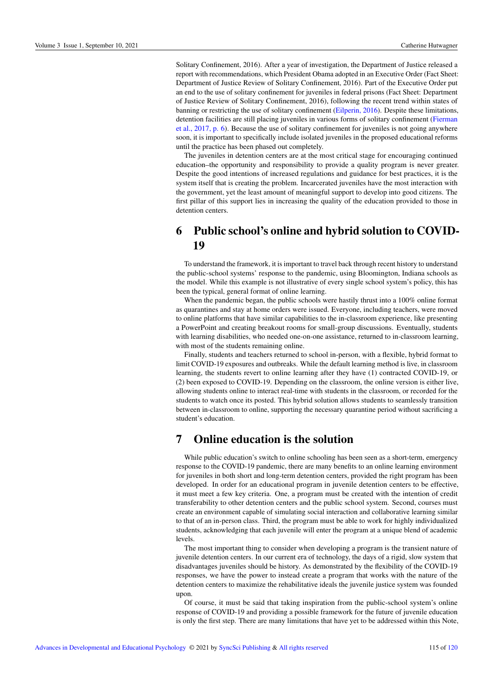Solitary Confinement, 2016). After a year of investigation, the Department of Justice released a report with recommendations, which President Obama adopted in an Executive Order (Fact Sheet: Department of Justice Review of Solitary Confinement, 2016). Part of the Executive Order put an end to the use of solitary confinement for juveniles in federal prisons (Fact Sheet: Department of Justice Review of Solitary Confinement, 2016), following the recent trend within states of banning or restricting the use of solitary confinement (Eilperin, 2016). Despite these limitations, detention facilities are still placing juveniles in various forms of solitary confinement (Fierman et al., 2017, p. 6). Because the use of solitary confinement for juveniles is not going anywhere soon, it is important to specifically include isolated juveniles in the proposed educational reforms until the practice has been phased out completely.

The juveniles in detention centers are at the most critical stage for encouraging continued education–the opportunity and responsibility to provide a quality program is never greater. Despite the good intentions of increased regulations and guidance for best practices, it is the system itself that is creating the problem. Incarcerated juveniles have the most interaction with the government, yet the least amount of meaningful support to develop into good citizens. The first pillar of this support lies in increasing the quality of the education provided to those in detention centers.

# 6 Public school's online and hybrid solution to COVID-19

To understand the framework, it is important to travel back through recent history to understand the public-school systems' response to the pandemic, using Bloomington, Indiana schools as the model. While this example is not illustrative of every single school system's policy, this has been the typical, general format of online learning.

When the pandemic began, the public schools were hastily thrust into a 100% online format as quarantines and stay at home orders were issued. Everyone, including teachers, were moved to online platforms that have similar capabilities to the in-classroom experience, like presenting a PowerPoint and creating breakout rooms for small-group discussions. Eventually, students with learning disabilities, who needed one-on-one assistance, returned to in-classroom learning, with most of the students remaining online.

Finally, students and teachers returned to school in-person, with a flexible, hybrid format to limit COVID-19 exposures and outbreaks. While the default learning method is live, in classroom learning, the students revert to online learning after they have (1) contracted COVID-19, or (2) been exposed to COVID-19. Depending on the classroom, the online version is either live, allowing students online to interact real-time with students in the classroom, or recorded for the students to watch once its posted. This hybrid solution allows students to seamlessly transition between in-classroom to online, supporting the necessary quarantine period without sacrificing a student's education.

## 7 Online education is the solution

While public education's switch to online schooling has been seen as a short-term, emergency response to the COVID-19 pandemic, there are many benefits to an online learning environment for juveniles in both short and long-term detention centers, provided the right program has been developed. In order for an educational program in juvenile detention centers to be effective, it must meet a few key criteria. One, a program must be created with the intention of credit transferability to other detention centers and the public school system. Second, courses must create an environment capable of simulating social interaction and collaborative learning similar to that of an in-person class. Third, the program must be able to work for highly individualized students, acknowledging that each juvenile will enter the program at a unique blend of academic levels.

The most important thing to consider when developing a program is the transient nature of juvenile detention centers. In our current era of technology, the days of a rigid, slow system that disadvantages juveniles should be history. As demonstrated by the flexibility of the COVID-19 responses, we have the power to instead create a program that works with the nature of the detention centers to maximize the rehabilitative ideals the juvenile justice system was founded upon.

Of course, it must be said that taking inspiration from the public-school system's online response of COVID-19 and providing a possible framework for the future of juvenile education is only the first step. There are many limitations that have yet to be addressed within this Note,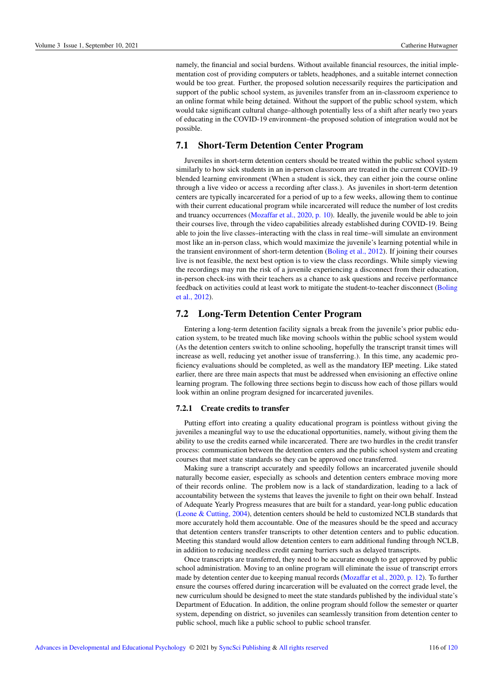namely, the financial and social burdens. Without available financial resources, the initial implementation cost of providing computers or tablets, headphones, and a suitable internet connection would be too great. Further, the proposed solution necessarily requires the participation and support of the public school system, as juveniles transfer from an in-classroom experience to an online format while being detained. Without the support of the public school system, which would take significant cultural change–although potentially less of a shift after nearly two years of educating in the COVID-19 environment–the proposed solution of integration would not be possible.

### 7.1 Short-Term Detention Center Program

Juveniles in short-term detention centers should be treated within the public school system similarly to how sick students in an in-person classroom are treated in the current COVID-19 blended learning environment (When a student is sick, they can either join the course online through a live video or access a recording after class.). As juveniles in short-term detention centers are typically incarcerated for a period of up to a few weeks, allowing them to continue with their current educational program while incarcerated will reduce the number of lost credits and truancy occurrences (Mozaffar et al., 2020, p. 10). Ideally, the juvenile would be able to join their courses live, through the video capabilities already established during COVID-19. Being able to join the live classes–interacting with the class in real time–will simulate an environment most like an in-person class, which would maximize the juvenile's learning potential while in the transient environment of short-term detention (Boling et al., 2012). If joining their courses live is not feasible, the next best option is to view the class recordings. While simply viewing the recordings may run the risk of a juvenile experiencing a disconnect from their education, in-person check-ins with their teachers as a chance to ask questions and receive performance feedback on activities could at least work to mitigate the student-to-teacher disconnect (Boling et al., 2012).

### 7.2 Long-Term Detention Center Program

Entering a long-term detention facility signals a break from the juvenile's prior public education system, to be treated much like moving schools within the public school system would (As the detention centers switch to online schooling, hopefully the transcript transit times will increase as well, reducing yet another issue of transferring.). In this time, any academic proficiency evaluations should be completed, as well as the mandatory IEP meeting. Like stated earlier, there are three main aspects that must be addressed when envisioning an effective online learning program. The following three sections begin to discuss how each of those pillars would look within an online program designed for incarcerated juveniles.

#### 7.2.1 Create credits to transfer

Putting effort into creating a quality educational program is pointless without giving the juveniles a meaningful way to use the educational opportunities, namely, without giving them the ability to use the credits earned while incarcerated. There are two hurdles in the credit transfer process: communication between the detention centers and the public school system and creating courses that meet state standards so they can be approved once transferred.

Making sure a transcript accurately and speedily follows an incarcerated juvenile should naturally become easier, especially as schools and detention centers embrace moving more of their records online. The problem now is a lack of standardization, leading to a lack of accountability between the systems that leaves the juvenile to fight on their own behalf. Instead of Adequate Yearly Progress measures that are built for a standard, year-long public education (Leone & Cutting, 2004), detention centers should be held to customized NCLB standards that more accurately hold them accountable. One of the measures should be the speed and accuracy that detention centers transfer transcripts to other detention centers and to public education. Meeting this standard would allow detention centers to earn additional funding through NCLB, in addition to reducing needless credit earning barriers such as delayed transcripts.

Once transcripts are transferred, they need to be accurate enough to get approved by public school administration. Moving to an online program will eliminate the issue of transcript errors made by detention center due to keeping manual records (Mozaffar et al., 2020, p. 12). To further ensure the courses offered during incarceration will be evaluated on the correct grade level, the new curriculum should be designed to meet the state standards published by the individual state's Department of Education. In addition, the online program should follow the semester or quarter system, depending on district, so juveniles can seamlessly transition from detention center to public school, much like a public school to public school transfer.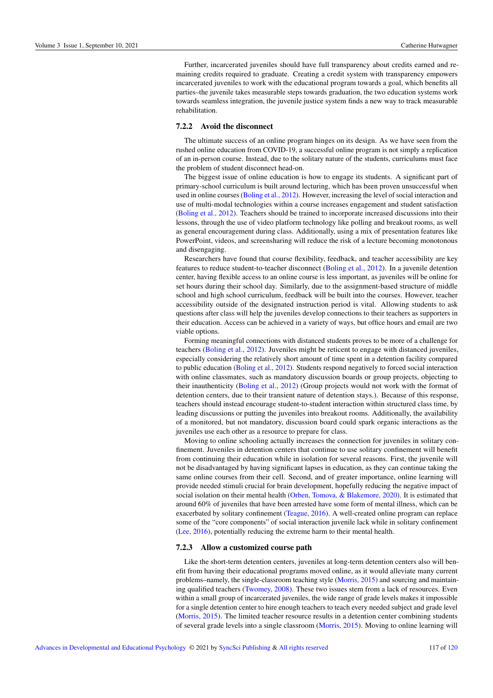Further, incarcerated juveniles should have full transparency about credits earned and remaining credits required to graduate. Creating a credit system with transparency empowers incarcerated juveniles to work with the educational program towards a goal, which benefits all parties–the juvenile takes measurable steps towards graduation, the two education systems work towards seamless integration, the juvenile justice system finds a new way to track measurable rehabilitation.

### 7.2.2 Avoid the disconnect

The ultimate success of an online program hinges on its design. As we have seen from the rushed online education from COVID-19, a successful online program is not simply a replication of an in-person course. Instead, due to the solitary nature of the students, curriculums must face the problem of student disconnect head-on.

The biggest issue of online education is how to engage its students. A significant part of primary-school curriculum is built around lecturing, which has been proven unsuccessful when used in online courses (Boling et al., 2012). However, increasing the level of social interaction and use of multi-modal technologies within a course increases engagement and student satisfaction (Boling et al., 2012). Teachers should be trained to incorporate increased discussions into their lessons, through the use of video platform technology like polling and breakout rooms, as well as general encouragement during class. Additionally, using a mix of presentation features like PowerPoint, videos, and screensharing will reduce the risk of a lecture becoming monotonous and disengaging.

Researchers have found that course flexibility, feedback, and teacher accessibility are key features to reduce student-to-teacher disconnect (Boling et al., 2012). In a juvenile detention center, having flexible access to an online course is less important, as juveniles will be online for set hours during their school day. Similarly, due to the assignment-based structure of middle school and high school curriculum, feedback will be built into the courses. However, teacher accessibility outside of the designated instruction period is vital. Allowing students to ask questions after class will help the juveniles develop connections to their teachers as supporters in their education. Access can be achieved in a variety of ways, but office hours and email are two viable options.

Forming meaningful connections with distanced students proves to be more of a challenge for teachers (Boling et al., 2012). Juveniles might be reticent to engage with distanced juveniles, especially considering the relatively short amount of time spent in a detention facility compared to public education (Boling et al., 2012). Students respond negatively to forced social interaction with online classmates, such as mandatory discussion boards or group projects, objecting to their inauthenticity (Boling et al., 2012) (Group projects would not work with the format of detention centers, due to their transient nature of detention stays.). Because of this response, teachers should instead encourage student-to-student interaction within structured class time, by leading discussions or putting the juveniles into breakout rooms. Additionally, the availability of a monitored, but not mandatory, discussion board could spark organic interactions as the juveniles use each other as a resource to prepare for class.

Moving to online schooling actually increases the connection for juveniles in solitary confinement. Juveniles in detention centers that continue to use solitary confinement will benefit from continuing their education while in isolation for several reasons. First, the juvenile will not be disadvantaged by having significant lapses in education, as they can continue taking the same online courses from their cell. Second, and of greater importance, online learning will provide needed stimuli crucial for brain development, hopefully reducing the negative impact of social isolation on their mental health (Orben, Tomova, & Blakemore, 2020). It is estimated that around 60% of juveniles that have been arrested have some form of mental illness, which can be exacerbated by solitary confinement (Teague, 2016). A well-created online program can replace some of the "core components" of social interaction juvenile lack while in solitary confinement (Lee, 2016), potentially reducing the extreme harm to their mental health.

#### 7.2.3 Allow a customized course path

Like the short-term detention centers, juveniles at long-term detention centers also will benefit from having their educational programs moved online, as it would alleviate many current problems–namely, the single-classroom teaching style (Morris, 2015) and sourcing and maintaining qualified teachers (Twomey, 2008). These two issues stem from a lack of resources. Even within a small group of incarcerated juveniles, the wide range of grade levels makes it impossible for a single detention center to hire enough teachers to teach every needed subject and grade level (Morris, 2015). The limited teacher resource results in a detention center combining students of several grade levels into a single classroom (Morris, 2015). Moving to online learning will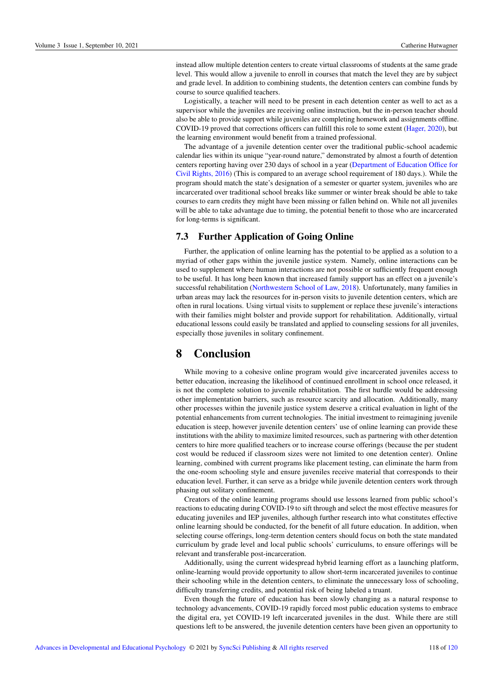instead allow multiple detention centers to create virtual classrooms of students at the same grade level. This would allow a juvenile to enroll in courses that match the level they are by subject and grade level. In addition to combining students, the detention centers can combine funds by course to source qualified teachers.

Logistically, a teacher will need to be present in each detention center as well to act as a supervisor while the juveniles are receiving online instruction, but the in-person teacher should also be able to provide support while juveniles are completing homework and assignments offline. COVID-19 proved that corrections officers can fulfill this role to some extent (Hager, 2020), but the learning environment would benefit from a trained professional.

The advantage of a juvenile detention center over the traditional public-school academic calendar lies within its unique "year-round nature," demonstrated by almost a fourth of detention centers reporting having over 230 days of school in a year (Department of Education Office for Civil Rights, 2016) (This is compared to an average school requirement of 180 days.). While the program should match the state's designation of a semester or quarter system, juveniles who are incarcerated over traditional school breaks like summer or winter break should be able to take courses to earn credits they might have been missing or fallen behind on. While not all juveniles will be able to take advantage due to timing, the potential benefit to those who are incarcerated for long-terms is significant.

### 7.3 Further Application of Going Online

Further, the application of online learning has the potential to be applied as a solution to a myriad of other gaps within the juvenile justice system. Namely, online interactions can be used to supplement where human interactions are not possible or sufficiently frequent enough to be useful. It has long been known that increased family support has an effect on a juvenile's successful rehabilitation (Northwestern School of Law, 2018). Unfortunately, many families in urban areas may lack the resources for in-person visits to juvenile detention centers, which are often in rural locations. Using virtual visits to supplement or replace these juvenile's interactions with their families might bolster and provide support for rehabilitation. Additionally, virtual educational lessons could easily be translated and applied to counseling sessions for all juveniles, especially those juveniles in solitary confinement.

## 8 Conclusion

While moving to a cohesive online program would give incarcerated juveniles access to better education, increasing the likelihood of continued enrollment in school once released, it is not the complete solution to juvenile rehabilitation. The first hurdle would be addressing other implementation barriers, such as resource scarcity and allocation. Additionally, many other processes within the juvenile justice system deserve a critical evaluation in light of the potential enhancements from current technologies. The initial investment to reimagining juvenile education is steep, however juvenile detention centers' use of online learning can provide these institutions with the ability to maximize limited resources, such as partnering with other detention centers to hire more qualified teachers or to increase course offerings (because the per student cost would be reduced if classroom sizes were not limited to one detention center). Online learning, combined with current programs like placement testing, can eliminate the harm from the one-room schooling style and ensure juveniles receive material that corresponds to their education level. Further, it can serve as a bridge while juvenile detention centers work through phasing out solitary confinement.

Creators of the online learning programs should use lessons learned from public school's reactions to educating during COVID-19 to sift through and select the most effective measures for educating juveniles and IEP juveniles, although further research into what constitutes effective online learning should be conducted, for the benefit of all future education. In addition, when selecting course offerings, long-term detention centers should focus on both the state mandated curriculum by grade level and local public schools' curriculums, to ensure offerings will be relevant and transferable post-incarceration.

Additionally, using the current widespread hybrid learning effort as a launching platform, online-learning would provide opportunity to allow short-term incarcerated juveniles to continue their schooling while in the detention centers, to eliminate the unnecessary loss of schooling, difficulty transferring credits, and potential risk of being labeled a truant.

Even though the future of education has been slowly changing as a natural response to technology advancements, COVID-19 rapidly forced most public education systems to embrace the digital era, yet COVID-19 left incarcerated juveniles in the dust. While there are still questions left to be answered, the juvenile detention centers have been given an opportunity to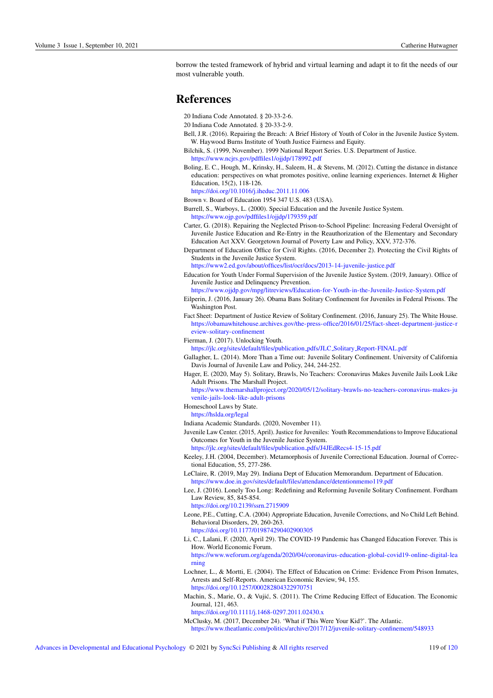borrow the tested framework of hybrid and virtual learning and adapt it to fit the needs of our most vulnerable youth.

## **References**

- 20 Indiana Code Annotated. § 20-33-2-6.
- 20 Indiana Code Annotated. § 20-33-2-9.
- Bell, J.R. (2016). Repairing the Breach: A Brief History of Youth of Color in the Juvenile Justice System. W. Haywood Burns Institute of Youth Justice Fairness and Equity.
- Bilchik, S. (1999, November). 1999 National Report Series. U.S. Department of Justice.
- <https://www.ncjrs.gov/pdffiles1/ojjdp/178992.pdf>
- Boling, E. C., Hough, M., Krinsky, H., Saleem, H., & Stevens, M. (2012). Cutting the distance in distance education: perspectives on what promotes positive, online learning experiences. Internet & Higher Education, 15(2), 118-126.
- <https://doi.org/10.1016/j.iheduc.2011.11.006>
- Brown v. Board of Education 1954 347 U.S. 483 (USA).
- Burrell, S., Warboys, L. (2000). Special Education and the Juvenile Justice System.

<https://www.ojp.gov/pdffiles1/ojjdp/179359.pdf>

- Carter, G. (2018). Repairing the Neglected Prison-to-School Pipeline: Increasing Federal Oversight of Juvenile Justice Education and Re-Entry in the Reauthorization of the Elementary and Secondary Education Act XXV. Georgetown Journal of Poverty Law and Policy, XXV, 372-376.
- Department of Education Office for Civil Rights. (2016, December 2). Protecting the Civil Rights of Students in the Juvenile Justice System.

<https://www2.ed.gov/about/offices/list/ocr/docs/2013-14-juvenile-justice.pdf>

- Education for Youth Under Formal Supervision of the Juvenile Justice System. (2019, January). Office of Juvenile Justice and Delinquency Prevention.
- <https://www.ojjdp.gov/mpg/litreviews/Education-for-Youth-in-the-Juvenile-Justice-System.pdf>
- Eilperin, J. (2016, January 26). Obama Bans Solitary Confinement for Juveniles in Federal Prisons. The Washington Post.
- Fact Sheet: Department of Justice Review of Solitary Confinement. (2016, January 25). The White House. [https://obamawhitehouse.archives.gov/the-press-office/2016/01/25/fact-sheet-department-justice-r](https://obamawhitehouse.archives.gov/the-press-office/2016/01/25/fact-sheet-department-justice-review-solitary-confinement) [eview-solitary-confinement](https://obamawhitehouse.archives.gov/the-press-office/2016/01/25/fact-sheet-department-justice-review-solitary-confinement)

Fierman, J. (2017). Unlocking Youth.

- [https://jlc.org/sites/default/files/publication](https://jlc.org/sites/default/files/publication_pdfs/JLC_Solitary_Report-FINAL.pdf) pdfs/JLC Solitary Report-FINAL.pdf
- Gallagher, L. (2014). More Than a Time out: Juvenile Solitary Confinement. University of California Davis Journal of Juvenile Law and Policy, 244, 244-252.
- Hager, E. (2020, May 5). Solitary, Brawls, No Teachers: Coronavirus Makes Juvenile Jails Look Like Adult Prisons. The Marshall Project.
	- [https://www.themarshallproject.org/2020/05/12/solitary-brawls-no-teachers-coronavirus-makes-ju](https://www.themarshallproject.org/2020/05/12/solitary-brawls-no-teachers-coronavirus-makes-juvenile-jails-look-like-adult-prisons) [venile-jails-look-like-adult-prisons](https://www.themarshallproject.org/2020/05/12/solitary-brawls-no-teachers-coronavirus-makes-juvenile-jails-look-like-adult-prisons)
- Homeschool Laws by State.
- <https://hslda.org/legal>
- Indiana Academic Standards. (2020, November 11).
- Juvenile Law Center. (2015, April). Justice for Juveniles: Youth Recommendations to Improve Educational Outcomes for Youth in the Juvenile Justice System.

[https://jlc.org/sites/default/files/publication](https://jlc.org/sites/default/files/publication_pdfs/J4JEdRecs4-15-15.pdf) pdfs/J4JEdRecs4-15-15.pdf

- Keeley, J.H. (2004, December). Metamorphosis of Juvenile Correctional Education. Journal of Correctional Education, 55, 277-286.
- LeClaire, R. (2019, May 29). Indiana Dept of Education Memorandum. Department of Education. <https://www.doe.in.gov/sites/default/files/attendance/detentionmemo119.pdf>
- Lee, J. (2016). Lonely Too Long: Redefining and Reforming Juvenile Solitary Confinement. Fordham Law Review, 85, 845-854.
- <https://doi.org/10.2139/ssrn.2715909> Leone, P.E., Cutting, C.A. (2004) Appropriate Education, Juvenile Corrections, and No Child Left Behind.
- Behavioral Disorders, 29, 260-263. <https://doi.org/10.1177/019874290402900305>
- Li, C., Lalani, F. (2020, April 29). The COVID-19 Pandemic has Changed Education Forever. This is How. World Economic Forum.

[https://www.weforum.org/agenda/2020/04/coronavirus-education-global-covid19-online-digital-lea](https://www.weforum.org/agenda/2020/04/coronavirus-education-global-covid19-online-digital-learning) [rning](https://www.weforum.org/agenda/2020/04/coronavirus-education-global-covid19-online-digital-learning)

- Lochner, L., & Mortti, E. (2004). The Effect of Education on Crime: Evidence From Prison Inmates, Arrests and Self-Reports. American Economic Review, 94, 155. <https://doi.org/10.1257/000282804322970751>
- Machin, S., Marie, O., & Vujic, S. (2011). The Crime Reducing Effect of Education. The Economic ´ Journal, 121, 463.

<https://doi.org/10.1111/j.1468-0297.2011.02430.x>

McClusky, M. (2017, December 24). 'What if This Were Your Kid?'. The Atlantic. <https://www.theatlantic.com/politics/archive/2017/12/juvenile-solitary-confinement/548933>